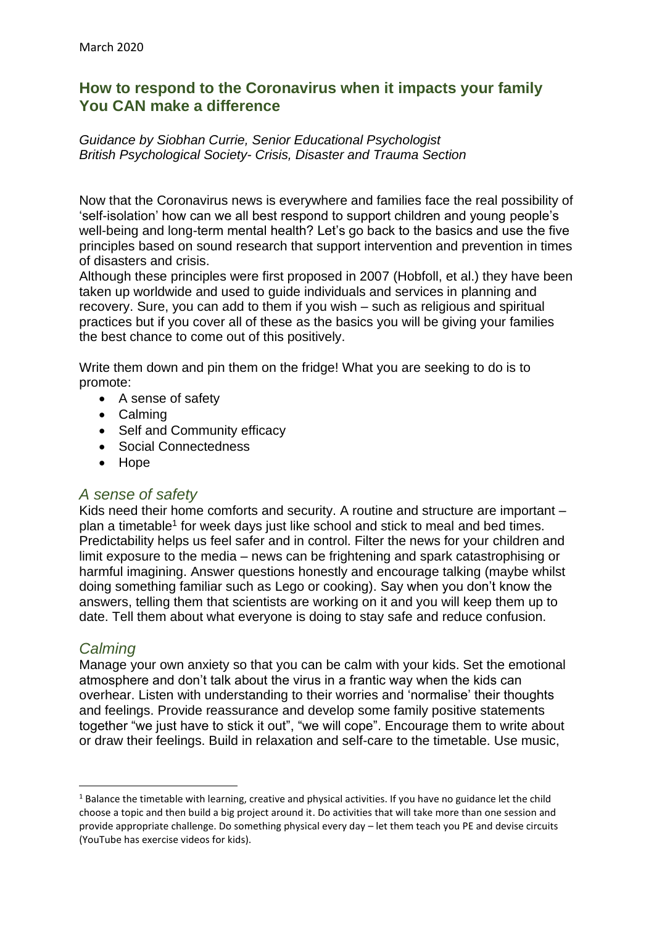# **How to respond to the Coronavirus when it impacts your family You CAN make a difference**

#### *Guidance by Siobhan Currie, Senior Educational Psychologist British Psychological Society- Crisis, Disaster and Trauma Section*

Now that the Coronavirus news is everywhere and families face the real possibility of 'self-isolation' how can we all best respond to support children and young people's well-being and long-term mental health? Let's go back to the basics and use the five principles based on sound research that support intervention and prevention in times of disasters and crisis.

Although these principles were first proposed in 2007 (Hobfoll, et al.) they have been taken up worldwide and used to guide individuals and services in planning and recovery. Sure, you can add to them if you wish – such as religious and spiritual practices but if you cover all of these as the basics you will be giving your families the best chance to come out of this positively.

Write them down and pin them on the fridge! What you are seeking to do is to promote:

- A sense of safety
- Calming
- Self and Community efficacy
- Social Connectedness
- Hope

## *A sense of safety*

Kids need their home comforts and security. A routine and structure are important – plan a timetable<sup>1</sup> for week days just like school and stick to meal and bed times. Predictability helps us feel safer and in control. Filter the news for your children and limit exposure to the media – news can be frightening and spark catastrophising or harmful imagining. Answer questions honestly and encourage talking (maybe whilst doing something familiar such as Lego or cooking). Say when you don't know the answers, telling them that scientists are working on it and you will keep them up to date. Tell them about what everyone is doing to stay safe and reduce confusion.

## *Calming*

Manage your own anxiety so that you can be calm with your kids. Set the emotional atmosphere and don't talk about the virus in a frantic way when the kids can overhear. Listen with understanding to their worries and 'normalise' their thoughts and feelings. Provide reassurance and develop some family positive statements together "we just have to stick it out", "we will cope". Encourage them to write about or draw their feelings. Build in relaxation and self-care to the timetable. Use music,

<sup>&</sup>lt;sup>1</sup> Balance the timetable with learning, creative and physical activities. If you have no guidance let the child choose a topic and then build a big project around it. Do activities that will take more than one session and provide appropriate challenge. Do something physical every day – let them teach you PE and devise circuits (YouTube has exercise videos for kids).